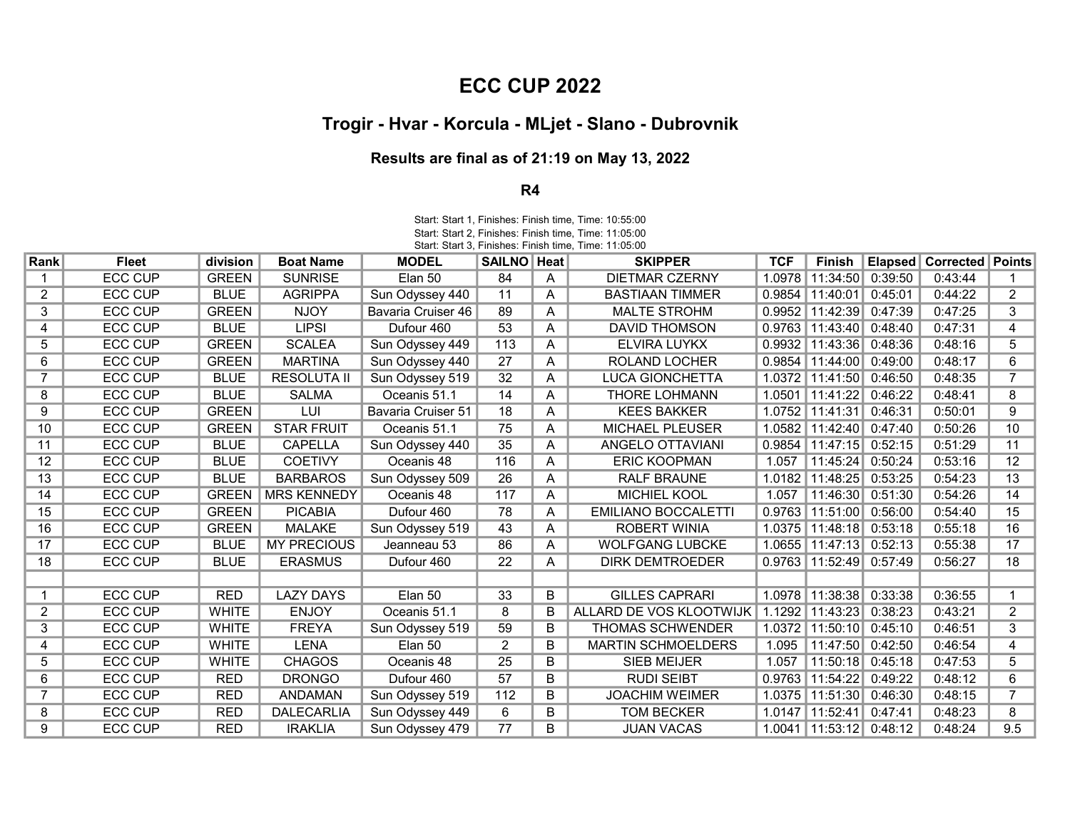## ECC CUP 2022

## Trogir - Hvar - Korcula - MLjet - Slano - Dubrovnik

## Results are final as of 21:19 on May 13, 2022

## R4

Start: Start 3, Finishes: Finish time, Time: 11:05:00 Start: Start 1, Finishes: Finish time, Time: 10:55:00 Start: Start 2, Finishes: Finish time, Time: 11:05:00

| Rank           | <b>Fleet</b>   | division     | <b>Boat Name</b>   | <b>MODEL</b>       | SAILNO   Heat   |   | <b>SKIPPER</b>             | <b>TCF</b> | Finish                        | Elapsed | <b>Corrected   Points</b> |                 |
|----------------|----------------|--------------|--------------------|--------------------|-----------------|---|----------------------------|------------|-------------------------------|---------|---------------------------|-----------------|
|                | <b>ECC CUP</b> | <b>GREEN</b> | <b>SUNRISE</b>     | Elan 50            | 84              | A | <b>DIETMAR CZERNY</b>      | 1.0978     | 11:34:50 0:39:50              |         | 0:43:44                   |                 |
| $\overline{2}$ | <b>ECC CUP</b> | <b>BLUE</b>  | <b>AGRIPPA</b>     | Sun Odyssey 440    | 11              | A | <b>BASTIAAN TIMMER</b>     | 0.9854     | 11:40:01                      | 0:45:01 | 0:44:22                   | $\overline{2}$  |
| 3              | <b>ECC CUP</b> | <b>GREEN</b> | <b>NJOY</b>        | Bavaria Cruiser 46 | 89              | A | <b>MALTE STROHM</b>        | 0.9952     | 11:42:39                      | 0:47:39 | 0:47:25                   | 3               |
| 4              | <b>ECC CUP</b> | <b>BLUE</b>  | <b>LIPSI</b>       | Dufour 460         | 53              | A | <b>DAVID THOMSON</b>       |            | $0.9763$   11:43:40   0:48:40 |         | 0:47:31                   | 4               |
| 5              | <b>ECC CUP</b> | <b>GREEN</b> | <b>SCALEA</b>      | Sun Odyssey 449    | 113             | A | ELVIRA LUYKX               | 0.9932     | 11:43:36 0:48:36              |         | 0:48:16                   | 5               |
| 6              | <b>ECC CUP</b> | <b>GREEN</b> | <b>MARTINA</b>     | Sun Odyssey 440    | 27              | A | <b>ROLAND LOCHER</b>       | 0.9854     | 11:44:00                      | 0:49:00 | 0:48:17                   | 6               |
|                | <b>ECC CUP</b> | <b>BLUE</b>  | <b>RESOLUTA II</b> | Sun Odyssey 519    | 32              | Α | <b>LUCA GIONCHETTA</b>     |            | 1.0372 11:41:50 0:46:50       |         | 0:48:35                   |                 |
| 8              | <b>ECC CUP</b> | <b>BLUE</b>  | <b>SALMA</b>       | Oceanis 51.1       | 14              | Α | <b>THORE LOHMANN</b>       | 1.0501     | 11:41:22                      | 0:46:22 | 0:48:41                   | 8               |
| 9              | <b>ECC CUP</b> | <b>GREEN</b> | LUI                | Bavaria Cruiser 51 | 18              | A | <b>KEES BAKKER</b>         | 1.0752     | 11:41:31                      | 0:46:31 | 0:50:01                   | 9               |
| 10             | <b>ECC CUP</b> | <b>GREEN</b> | <b>STAR FRUIT</b>  | Oceanis 51.1       | 75              | A | <b>MICHAEL PLEUSER</b>     | 1.0582     | 11:42:40 0:47:40              |         | 0:50:26                   | 10 <sup>1</sup> |
| 11             | <b>ECC CUP</b> | <b>BLUE</b>  | <b>CAPELLA</b>     | Sun Odyssey 440    | 35              | A | ANGELO OTTAVIANI           | 0.9854     | 11:47:15                      | 0:52:15 | 0:51:29                   | 11              |
| 12             | <b>ECC CUP</b> | <b>BLUE</b>  | <b>COETIVY</b>     | Oceanis 48         | 116             | A | <b>ERIC KOOPMAN</b>        | 1.057      | 11:45:24                      | 0:50:24 | 0:53:16                   | 12 <sub>2</sub> |
| 13             | <b>ECC CUP</b> | <b>BLUE</b>  | <b>BARBAROS</b>    | Sun Odyssey 509    | $\overline{26}$ | A | <b>RALF BRAUNE</b>         |            | 1.0182 11:48:25               | 0:53:25 | 0:54:23                   | 13              |
| 14             | <b>ECC CUP</b> | <b>GREEN</b> | <b>MRS KENNEDY</b> | Oceanis 48         | 117             | A | MICHIEL KOOL               | 1.057      | 11:46:30 0:51:30              |         | 0:54:26                   | 14              |
| 15             | <b>ECC CUP</b> | <b>GREEN</b> | <b>PICABIA</b>     | Dufour 460         | 78              | A | <b>EMILIANO BOCCALETTI</b> |            | $0.9763$   11:51:00           | 0:56:00 | 0:54:40                   | 15              |
| 16             | <b>ECC CUP</b> | <b>GREEN</b> | <b>MALAKE</b>      | Sun Odyssey 519    | 43              | A | <b>ROBERT WINIA</b>        | 1.0375     | 11:48:18                      | 0:53:18 | 0:55:18                   | 16              |
| 17             | <b>ECC CUP</b> | <b>BLUE</b>  | <b>MY PRECIOUS</b> | Jeanneau 53        | 86              | A | <b>WOLFGANG LUBCKE</b>     |            | 1.0655   11:47:13   0:52:13   |         | 0:55:38                   | 17              |
| 18             | <b>ECC CUP</b> | <b>BLUE</b>  | <b>ERASMUS</b>     | Dufour 460         | $\overline{22}$ | A | <b>DIRK DEMTROEDER</b>     |            | $0.9763$   11:52:49   0:57:49 |         | 0:56:27                   | 18              |
|                |                |              |                    |                    |                 |   |                            |            |                               |         |                           |                 |
|                | <b>ECC CUP</b> | <b>RED</b>   | <b>LAZY DAYS</b>   | Elan 50            | 33              | B | <b>GILLES CAPRARI</b>      | 1.0978     | 11:38:38                      | 0:33:38 | 0:36:55                   |                 |
| 2              | <b>ECC CUP</b> | <b>WHITE</b> | <b>ENJOY</b>       | Oceanis 51.1       | 8               |   | ALLARD DE VOS KLOOTWIJK    | 1.1292     | 11:43:23                      | 0:38:23 | 0:43:21                   | $\overline{2}$  |
| 3              | <b>ECC CUP</b> | <b>WHITE</b> | <b>FREYA</b>       | Sun Odyssey 519    | 59              | B | <b>THOMAS SCHWENDER</b>    | 1.0372     | 11:50:10 0:45:10              |         | 0:46:51                   | 3               |
| 4              | <b>ECC CUP</b> | <b>WHITE</b> | <b>LENA</b>        | Elan 50            | 2               | B | <b>MARTIN SCHMOELDERS</b>  | 1.095      | 11:47:50 0:42:50              |         | 0:46:54                   | 4               |
| 5              | <b>ECC CUP</b> | <b>WHITE</b> | <b>CHAGOS</b>      | Oceanis 48         | 25              | B | <b>SIEB MEIJER</b>         | 1.057      | 11:50:18                      | 0:45:18 | 0:47:53                   | 5               |
| 6              | <b>ECC CUP</b> | <b>RED</b>   | <b>DRONGO</b>      | Dufour 460         | 57              | B | <b>RUDI SEIBT</b>          |            | 0.9763   11:54:22             | 0:49:22 | 0:48:12                   | 6               |
|                | <b>ECC CUP</b> | <b>RED</b>   | <b>ANDAMAN</b>     | Sun Odyssey 519    | 112             | B | <b>JOACHIM WEIMER</b>      | 1.0375     | 11:51:30                      | 0:46:30 | 0:48:15                   | 7               |
| 8              | <b>ECC CUP</b> | <b>RED</b>   | <b>DALECARLIA</b>  | Sun Odyssey 449    | 6               | B | <b>TOM BECKER</b>          |            | 1.0147   11:52:41             | 0:47:41 | 0:48:23                   | 8               |
| 9              | <b>ECC CUP</b> | <b>RED</b>   | <b>IRAKLIA</b>     | Sun Odyssey 479    | 77              | B | <b>JUAN VACAS</b>          |            | 1.0041   11:53:12   0:48:12   |         | 0:48:24                   | 9.5             |